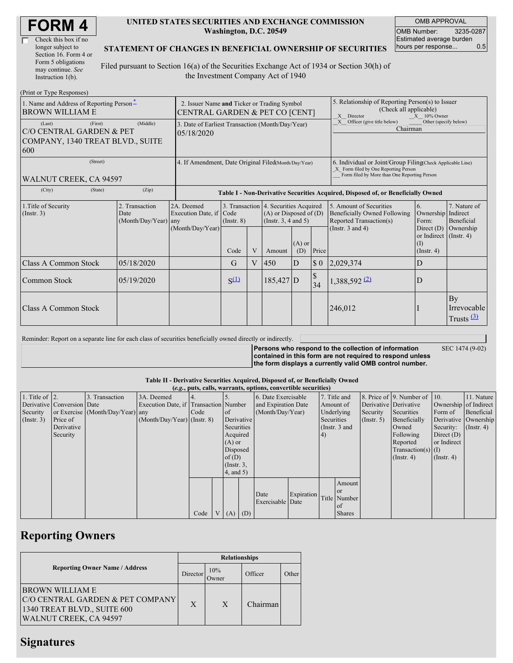| <b>FORM4</b> |
|--------------|
|--------------|

| Check this box if no  |
|-----------------------|
| longer subject to     |
| Section 16. Form 4 or |
| Form 5 obligations    |
| may continue. See     |
| Instruction 1(b).     |

#### **UNITED STATES SECURITIES AND EXCHANGE COMMISSION Washington, D.C. 20549**

OMB APPROVAL OMB Number: 3235-0287 Estimated average burden hours per response... 0.5

### **STATEMENT OF CHANGES IN BENEFICIAL OWNERSHIP OF SECURITIES**

Filed pursuant to Section 16(a) of the Securities Exchange Act of 1934 or Section 30(h) of the Investment Company Act of 1940

| (Print or Type Responses)                                                                |                                                                               |                                                      |                                                                                  |                |                                                                                                                                       |                                                                                                                                                    |                                 |                                                                                                             |                                                                                                              |                                         |  |
|------------------------------------------------------------------------------------------|-------------------------------------------------------------------------------|------------------------------------------------------|----------------------------------------------------------------------------------|----------------|---------------------------------------------------------------------------------------------------------------------------------------|----------------------------------------------------------------------------------------------------------------------------------------------------|---------------------------------|-------------------------------------------------------------------------------------------------------------|--------------------------------------------------------------------------------------------------------------|-----------------------------------------|--|
| 1. Name and Address of Reporting Person-<br><b>BROWN WILLIAM E</b>                       | 2. Issuer Name and Ticker or Trading Symbol<br>CENTRAL GARDEN & PET CO [CENT] |                                                      |                                                                                  |                |                                                                                                                                       | 5. Relationship of Reporting Person(s) to Issuer<br>(Check all applicable)<br>X Director<br>$X = 10\%$ Owner                                       |                                 |                                                                                                             |                                                                                                              |                                         |  |
| (First)<br>(Last)<br>C/O CENTRAL GARDEN & PET<br>COMPANY, 1340 TREAT BLVD., SUITE<br>600 | 3. Date of Earliest Transaction (Month/Day/Year)<br>05/18/2020                |                                                      |                                                                                  |                |                                                                                                                                       | Officer (give title below)<br>Other (specify below)<br>X<br>Chairman                                                                               |                                 |                                                                                                             |                                                                                                              |                                         |  |
| (Street)<br>WALNUT CREEK, CA 94597                                                       | 4. If Amendment, Date Original Filed(Month/Day/Year)                          |                                                      |                                                                                  |                |                                                                                                                                       | 6. Individual or Joint/Group Filing Check Applicable Line)<br>X Form filed by One Reporting Person<br>Form filed by More than One Reporting Person |                                 |                                                                                                             |                                                                                                              |                                         |  |
| (State)<br>(City)                                                                        | (Zip)                                                                         |                                                      | Table I - Non-Derivative Securities Acquired, Disposed of, or Beneficially Owned |                |                                                                                                                                       |                                                                                                                                                    |                                 |                                                                                                             |                                                                                                              |                                         |  |
| 1. Title of Security<br>(Insert. 3)                                                      | 2. Transaction<br>Date<br>(Month/Day/Year) any                                | 2A. Deemed<br>Execution Date, if<br>(Month/Day/Year) | Code<br>$($ Instr. $8)$<br>Code                                                  | V              | 3. Transaction 4. Securities Acquired<br>$(A)$ or Disposed of $(D)$<br>(Instr. $3, 4$ and $5$ )<br>$(A)$ or<br>Price<br>(D)<br>Amount |                                                                                                                                                    |                                 | 5. Amount of Securities<br>Beneficially Owned Following<br>Reported Transaction(s)<br>(Instr. $3$ and $4$ ) | <sup>6.</sup><br>Ownership Indirect<br>Form:<br>Direct $(D)$<br>or Indirect (Instr. 4)<br>(I)<br>(Insert, 4) | 7. Nature of<br>Beneficial<br>Ownership |  |
| <b>Class A Common Stock</b>                                                              | 05/18/2020                                                                    |                                                      | G                                                                                | $\overline{V}$ | 450                                                                                                                                   | D                                                                                                                                                  | $\boldsymbol{\mathsf{S}}$ 0     | 2,029,374                                                                                                   | D                                                                                                            |                                         |  |
| Common Stock                                                                             | 05/19/2020                                                                    |                                                      | $S^{(1)}$                                                                        |                | 185,427 D                                                                                                                             |                                                                                                                                                    | $\boldsymbol{\mathsf{S}}$<br>34 | $1,388,592$ <sup>(2)</sup>                                                                                  | D                                                                                                            |                                         |  |
| Class A Common Stock                                                                     |                                                                               |                                                      |                                                                                  |                |                                                                                                                                       |                                                                                                                                                    |                                 | 246,012                                                                                                     |                                                                                                              | By<br>Irrevocable<br>Trusts $(3)$       |  |

Reminder: Report on a separate line for each class of securities beneficially owned directly or indirectly.

**Persons who respond to the collection of information contained in this form are not required to respond unless the form displays a currently valid OMB control number.**

SEC 1474 (9-02)

#### **Table II - Derivative Securities Acquired, Disposed of, or Beneficially Owned**

|                        | (e.g., puts, calls, warrants, options, convertible securities) |                                  |                                       |      |  |                 |            |                     |                             |              |               |                      |                          |                       |            |
|------------------------|----------------------------------------------------------------|----------------------------------|---------------------------------------|------|--|-----------------|------------|---------------------|-----------------------------|--------------|---------------|----------------------|--------------------------|-----------------------|------------|
| 1. Title of $\vert$ 2. |                                                                | 3. Transaction                   | 3A. Deemed                            |      |  |                 |            | 6. Date Exercisable |                             | 7. Title and |               |                      | 8. Price of 9. Number of | $\vert$ 10.           | 11. Nature |
|                        | Derivative Conversion Date                                     |                                  | Execution Date, if Transaction Number |      |  |                 |            | and Expiration Date |                             | Amount of    |               |                      | Derivative Derivative    | Ownership of Indirect |            |
| Security               |                                                                | or Exercise (Month/Day/Year) any |                                       | Code |  | of              |            | (Month/Day/Year)    |                             | Underlying   |               | Security             | Securities               | Form of               | Beneficial |
| (Insert. 3)            | Price of                                                       |                                  | $(Month/Day/Year)$ (Instr. 8)         |      |  |                 | Derivative |                     | Securities<br>$($ Instr. 5) |              | Beneficially  |                      | Derivative Ownership     |                       |            |
|                        | Derivative                                                     |                                  |                                       |      |  | Securities      |            | (Instr. 3 and       |                             | Owned        | Security:     | $($ Instr. 4)        |                          |                       |            |
|                        | Security                                                       |                                  |                                       |      |  | Acquired        |            | $^{4}$              |                             |              | Following     | Direct $(D)$         |                          |                       |            |
|                        |                                                                |                                  |                                       |      |  | $(A)$ or        |            |                     |                             |              |               | Reported             | or Indirect              |                       |            |
|                        |                                                                |                                  |                                       |      |  | Disposed        |            |                     |                             |              |               | $Transaction(s)$ (I) |                          |                       |            |
|                        |                                                                |                                  |                                       |      |  | of $(D)$        |            |                     |                             |              |               |                      | $($ Instr. 4 $)$         | $($ Instr. 4 $)$      |            |
|                        |                                                                |                                  |                                       |      |  | $($ Instr. $3,$ |            |                     |                             |              |               |                      |                          |                       |            |
|                        |                                                                |                                  |                                       |      |  | 4, and 5)       |            |                     |                             |              |               |                      |                          |                       |            |
|                        |                                                                |                                  |                                       |      |  |                 |            |                     |                             |              | Amount        |                      |                          |                       |            |
|                        |                                                                |                                  |                                       |      |  |                 |            |                     |                             |              | <sub>or</sub> |                      |                          |                       |            |
|                        |                                                                |                                  |                                       |      |  |                 |            | Date                | Expiration                  |              | Title Number  |                      |                          |                       |            |
|                        |                                                                |                                  |                                       |      |  |                 |            | Exercisable Date    |                             |              | of            |                      |                          |                       |            |
|                        |                                                                |                                  |                                       | Code |  | $V(A)$ (D)      |            |                     |                             |              | <b>Shares</b> |                      |                          |                       |            |

# **Reporting Owners**

|                                                                                                               | <b>Relationships</b> |               |          |       |  |  |  |
|---------------------------------------------------------------------------------------------------------------|----------------------|---------------|----------|-------|--|--|--|
| <b>Reporting Owner Name / Address</b>                                                                         | Director             | 10%<br>.)wnet | Officer  | Other |  |  |  |
| IBROWN WILLIAM E<br>C/O CENTRAL GARDEN & PET COMPANY<br>1340 TREAT BLVD., SUITE 600<br>WALNUT CREEK, CA 94597 | X                    | X             | Chairman |       |  |  |  |

## **Signatures**